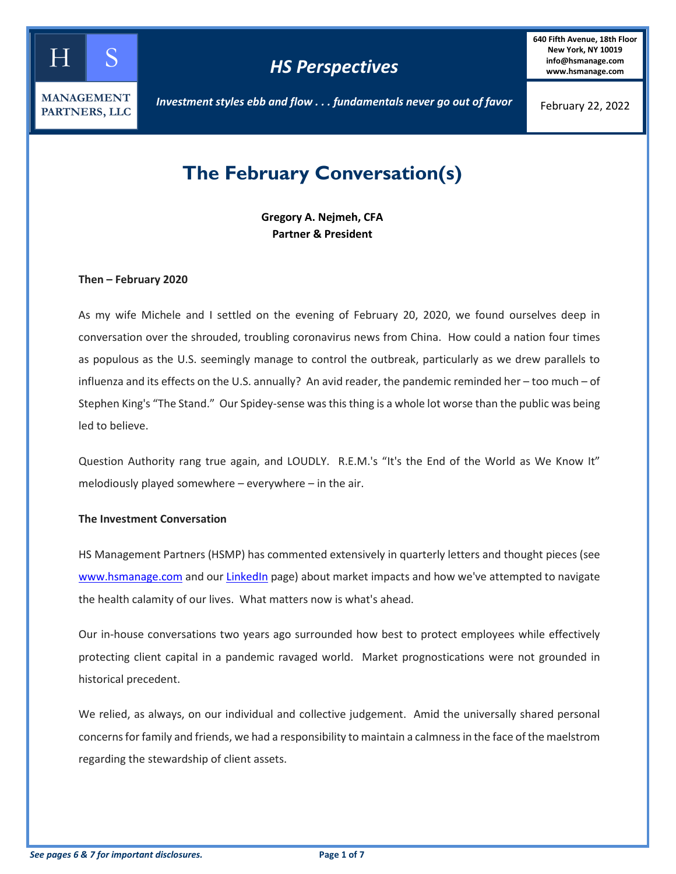

## *HS Perspectives*

**640 Fifth Avenue, 18th Floor New York, NY 10019 info@hsmanage.com www.hsmanage.com**

*Investment styles ebb and flow . . . fundamentals never go out of favor*

February 22, 2022

# **The February Conversation(s)**

**Gregory A. Nejmeh, CFA Partner & President**

#### **Then – February 2020**

As my wife Michele and I settled on the evening of February 20, 2020, we found ourselves deep in conversation over the shrouded, troubling coronavirus news from China. How could a nation four times as populous as the U.S. seemingly manage to control the outbreak, particularly as we drew parallels to influenza and its effects on the U.S. annually? An avid reader, the pandemic reminded her – too much – of Stephen King's "The Stand." Our Spidey-sense was this thing is a whole lot worse than the public was being led to believe.

Question Authority rang true again, and LOUDLY. R.E.M.'s "It's the End of the World as We Know It" melodiously played somewhere – everywhere – in the air.

#### **The Investment Conversation**

HS Management Partners (HSMP) has commented extensively in quarterly letters and thought pieces (see [www.hsmanage.com](https://www.hsmanage.com/blog/) and our [LinkedIn](https://www.linkedin.com/company/hs-management-partners-llc/?viewAsMember=true) page) about market impacts and how we've attempted to navigate the health calamity of our lives. What matters now is what's ahead.

Our in-house conversations two years ago surrounded how best to protect employees while effectively protecting client capital in a pandemic ravaged world. Market prognostications were not grounded in historical precedent.

We relied, as always, on our individual and collective judgement. Amid the universally shared personal concerns for family and friends, we had a responsibility to maintain a calmness in the face of the maelstrom regarding the stewardship of client assets.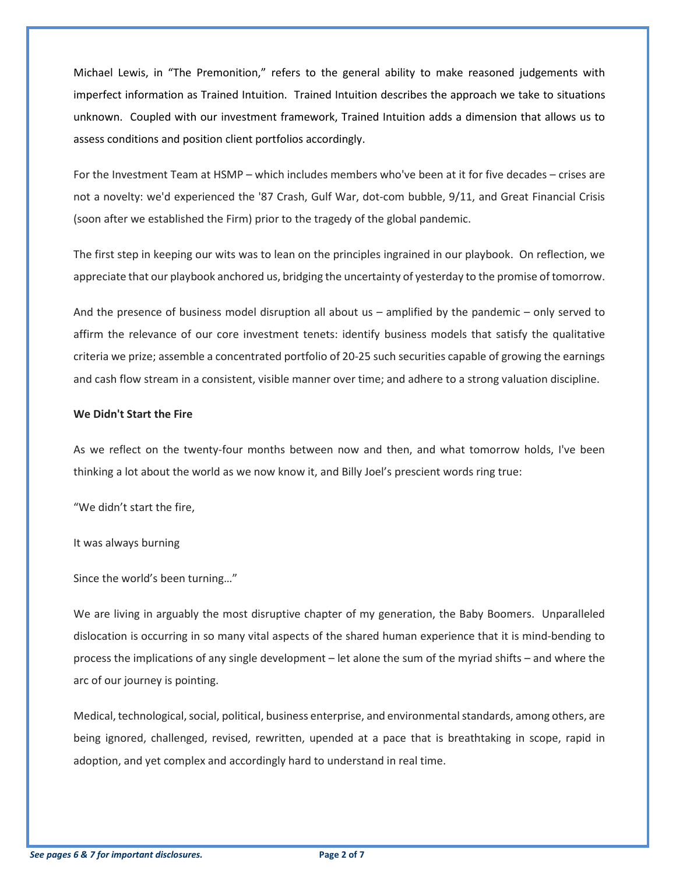Michael Lewis, in "The Premonition," refers to the general ability to make reasoned judgements with imperfect information as Trained Intuition. Trained Intuition describes the approach we take to situations unknown. Coupled with our investment framework, Trained Intuition adds a dimension that allows us to assess conditions and position client portfolios accordingly.

For the Investment Team at HSMP – which includes members who've been at it for five decades – crises are not a novelty: we'd experienced the '87 Crash, Gulf War, dot-com bubble, 9/11, and Great Financial Crisis (soon after we established the Firm) prior to the tragedy of the global pandemic.

The first step in keeping our wits was to lean on the principles ingrained in our playbook. On reflection, we appreciate that our playbook anchored us, bridging the uncertainty of yesterday to the promise of tomorrow.

And the presence of business model disruption all about us – amplified by the pandemic – only served to affirm the relevance of our core investment tenets: identify business models that satisfy the qualitative criteria we prize; assemble a concentrated portfolio of 20-25 such securities capable of growing the earnings and cash flow stream in a consistent, visible manner over time; and adhere to a strong valuation discipline.

#### **We Didn't Start the Fire**

As we reflect on the twenty-four months between now and then, and what tomorrow holds, I've been thinking a lot about the world as we now know it, and Billy Joel's prescient words ring true:

"We didn't start the fire,

It was always burning

Since the world's been turning…"

We are living in arguably the most disruptive chapter of my generation, the Baby Boomers. Unparalleled dislocation is occurring in so many vital aspects of the shared human experience that it is mind-bending to process the implications of any single development – let alone the sum of the myriad shifts – and where the arc of our journey is pointing.

Medical, technological, social, political, business enterprise, and environmental standards, among others, are being ignored, challenged, revised, rewritten, upended at a pace that is breathtaking in scope, rapid in adoption, and yet complex and accordingly hard to understand in real time.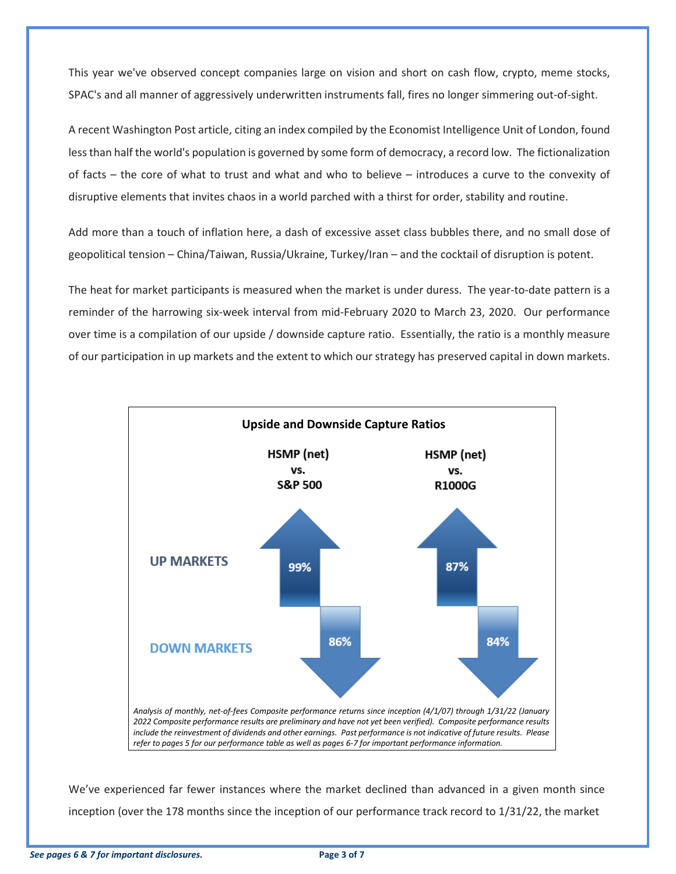This year we've observed concept companies large on vision and short on cash flow, crypto, meme stocks, SPAC's and all manner of aggressively underwritten instruments fall, fires no longer simmering out-of-sight.

A recent Washington Post article, citing an index compiled by the Economist Intelligence Unit of London, found less than half the world's population is governed by some form of democracy, a record low. The fictionalization of facts – the core of what to trust and what and who to believe – introduces a curve to the convexity of disruptive elements that invites chaos in a world parched with a thirst for order, stability and routine.

Add more than a touch of inflation here, a dash of excessive asset class bubbles there, and no small dose of geopolitical tension – China/Taiwan, Russia/Ukraine, Turkey/Iran – and the cocktail of disruption is potent.

The heat for market participants is measured when the market is under duress. The year-to-date pattern is a reminder of the harrowing six-week interval from mid-February 2020 to March 23, 2020. Our performance over time is a compilation of our upside / downside capture ratio. Essentially, the ratio is a monthly measure of our participation in up markets and the extent to which our strategy has preserved capital in down markets.



We've experienced far fewer instances where the market declined than advanced in a given month since inception (over the 178 months since the inception of our performance track record to 1/31/22, the market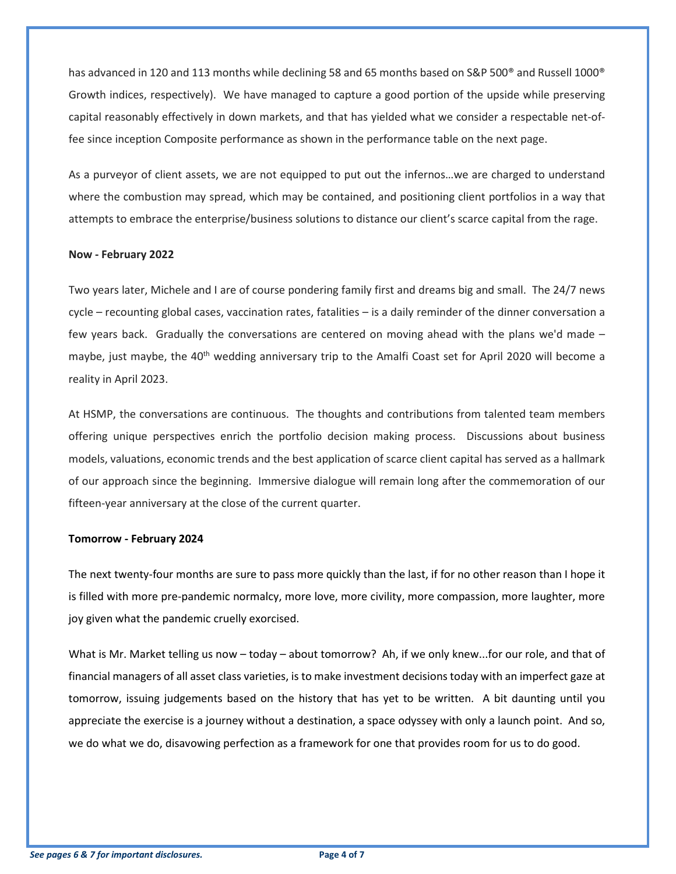has advanced in 120 and 113 months while declining 58 and 65 months based on S&P 500<sup>®</sup> and Russell 1000<sup>®</sup> Growth indices, respectively). We have managed to capture a good portion of the upside while preserving capital reasonably effectively in down markets, and that has yielded what we consider a respectable net-offee since inception Composite performance as shown in the performance table on the next page.

As a purveyor of client assets, we are not equipped to put out the infernos…we are charged to understand where the combustion may spread, which may be contained, and positioning client portfolios in a way that attempts to embrace the enterprise/business solutions to distance our client's scarce capital from the rage.

#### **Now - February 2022**

Two years later, Michele and I are of course pondering family first and dreams big and small. The 24/7 news cycle – recounting global cases, vaccination rates, fatalities – is a daily reminder of the dinner conversation a few years back. Gradually the conversations are centered on moving ahead with the plans we'd made – maybe, just maybe, the 40<sup>th</sup> wedding anniversary trip to the Amalfi Coast set for April 2020 will become a reality in April 2023.

At HSMP, the conversations are continuous. The thoughts and contributions from talented team members offering unique perspectives enrich the portfolio decision making process. Discussions about business models, valuations, economic trends and the best application of scarce client capital has served as a hallmark of our approach since the beginning. Immersive dialogue will remain long after the commemoration of our fifteen-year anniversary at the close of the current quarter.

#### **Tomorrow - February 2024**

The next twenty-four months are sure to pass more quickly than the last, if for no other reason than I hope it is filled with more pre-pandemic normalcy, more love, more civility, more compassion, more laughter, more joy given what the pandemic cruelly exorcised.

What is Mr. Market telling us now – today – about tomorrow? Ah, if we only knew...for our role, and that of financial managers of all asset class varieties, is to make investment decisions today with an imperfect gaze at tomorrow, issuing judgements based on the history that has yet to be written. A bit daunting until you appreciate the exercise is a journey without a destination, a space odyssey with only a launch point. And so, we do what we do, disavowing perfection as a framework for one that provides room for us to do good.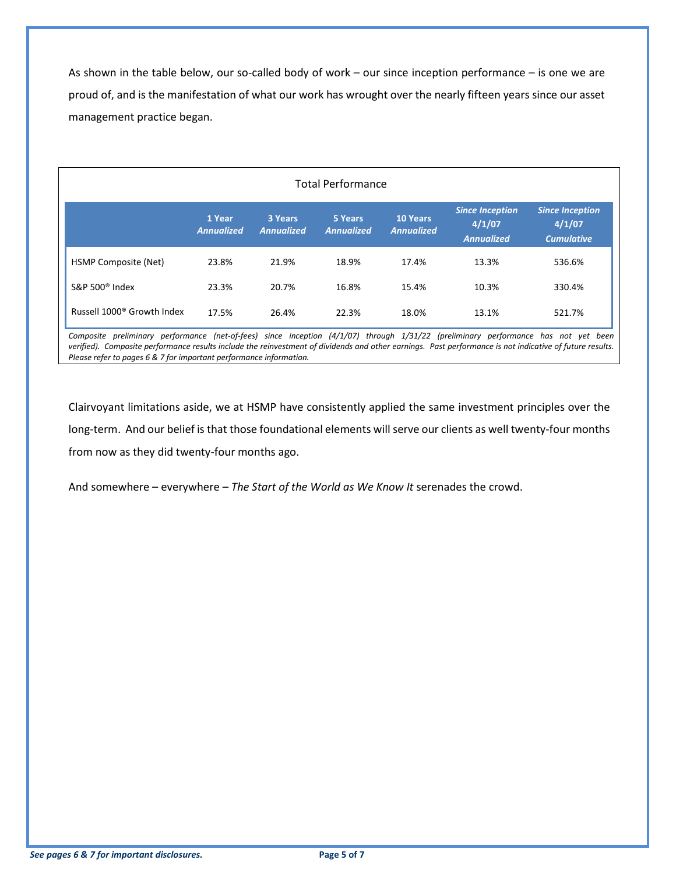As shown in the table below, our so-called body of work – our since inception performance – is one we are proud of, and is the manifestation of what our work has wrought over the nearly fifteen years since our asset management practice began.

### Total Performance

|                                        | 1 Year<br><b>Annualized</b> | 3 Years<br><b>Annualized</b> | 5 Years<br><b>Annualized</b> | <b>10 Years</b><br><b>Annualized</b> | <b>Since Inception</b><br>4/1/07<br><b>Annualized</b> | <b>Since Inception</b><br>4/1/07<br><b>Cumulative</b> |
|----------------------------------------|-----------------------------|------------------------------|------------------------------|--------------------------------------|-------------------------------------------------------|-------------------------------------------------------|
| HSMP Composite (Net)                   | 23.8%                       | 21.9%                        | 18.9%                        | 17.4%                                | 13.3%                                                 | 536.6%                                                |
| S&P 500 $^{\circ}$ Index               | 23.3%                       | 20.7%                        | 16.8%                        | 15.4%                                | 10.3%                                                 | 330.4%                                                |
| Russell 1000 <sup>®</sup> Growth Index | 17.5%                       | 26.4%                        | 22.3%                        | 18.0%                                | 13.1%                                                 | 521.7%                                                |

*Composite preliminary performance (net-of-fees) since inception (4/1/07) through 1/31/22 (preliminary performance has not yet been verified). Composite performance results include the reinvestment of dividends and other earnings. Past performance is not indicative of future results. Please refer to pages 6 & 7 for important performance information.*

Clairvoyant limitations aside, we at HSMP have consistently applied the same investment principles over the long-term. And our belief is that those foundational elements will serve our clients as well twenty-four months from now as they did twenty-four months ago.

And somewhere – everywhere – *The Start of the World as We Know It* serenades the crowd.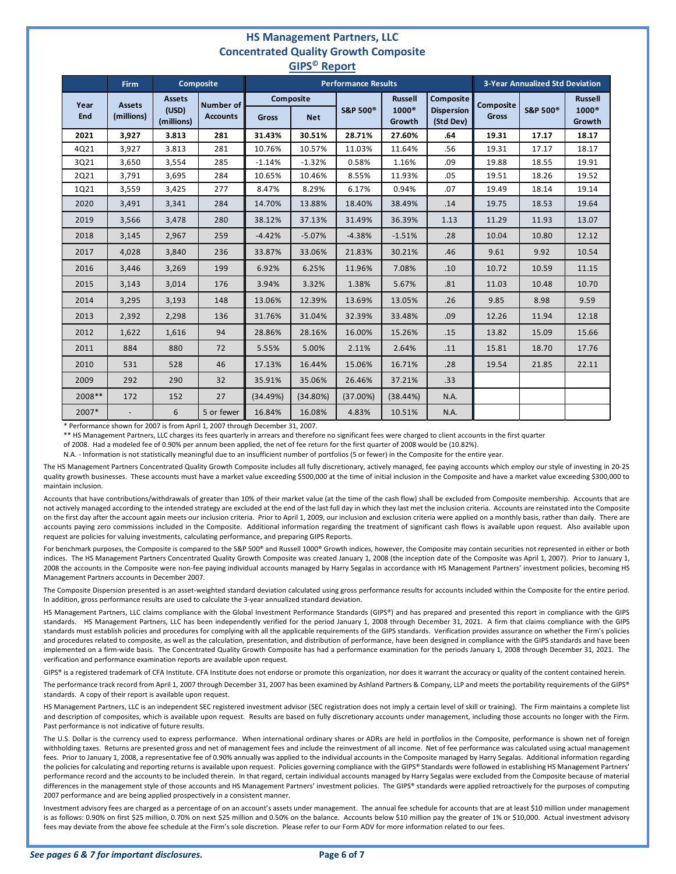#### **HS Management Partners, LLC Concentrated Quality Growth Composite GIPS© Report**

| . <b>.</b>  |                             |                                      |                                     |                            |            |                      |                                          |                                             |                                        |                     |                                               |  |
|-------------|-----------------------------|--------------------------------------|-------------------------------------|----------------------------|------------|----------------------|------------------------------------------|---------------------------------------------|----------------------------------------|---------------------|-----------------------------------------------|--|
|             | <b>Firm</b>                 | <b>Composite</b>                     |                                     | <b>Performance Results</b> |            |                      |                                          |                                             | <b>3-Year Annualized Std Deviation</b> |                     |                                               |  |
| Year<br>End | <b>Assets</b><br>(millions) | <b>Assets</b><br>(USD)<br>(millions) | <b>Number of</b><br><b>Accounts</b> | <b>Composite</b><br>Gross  | <b>Net</b> | S&P 500 <sup>®</sup> | <b>Russell</b><br>$1000^\circ$<br>Growth | Composite<br><b>Dispersion</b><br>(Std Dev) | Composite<br>Gross                     | <b>S&amp;P 500®</b> | <b>Russell</b><br>1000 <sup>®</sup><br>Growth |  |
| 2021        | 3,927                       | 3.813                                | 281                                 | 31.43%                     | 30.51%     | 28.71%               | 27.60%                                   | .64                                         | 19.31                                  | 17.17               | 18.17                                         |  |
| 4Q21        | 3,927                       | 3.813                                | 281                                 | 10.76%                     | 10.57%     | 11.03%               | 11.64%                                   | .56                                         | 19.31                                  | 17.17               | 18.17                                         |  |
| 3Q21        | 3,650                       | 3,554                                | 285                                 | $-1.14%$                   | $-1.32%$   | 0.58%                | 1.16%                                    | .09                                         | 19.88                                  | 18.55               | 19.91                                         |  |
| 2Q21        | 3,791                       | 3,695                                | 284                                 | 10.65%                     | 10.46%     | 8.55%                | 11.93%                                   | .05                                         | 19.51                                  | 18.26               | 19.52                                         |  |
| 1Q21        | 3,559                       | 3,425                                | 277                                 | 8.47%                      | 8.29%      | 6.17%                | 0.94%                                    | .07                                         | 19.49                                  | 18.14               | 19.14                                         |  |
| 2020        | 3,491                       | 3,341                                | 284                                 | 14.70%                     | 13.88%     | 18.40%               | 38.49%                                   | .14                                         | 19.75                                  | 18.53               | 19.64                                         |  |
| 2019        | 3,566                       | 3,478                                | 280                                 | 38.12%                     | 37.13%     | 31.49%               | 36.39%                                   | 1.13                                        | 11.29                                  | 11.93               | 13.07                                         |  |
| 2018        | 3,145                       | 2,967                                | 259                                 | $-4.42%$                   | $-5.07%$   | $-4.38%$             | $-1.51%$                                 | .28                                         | 10.04                                  | 10.80               | 12.12                                         |  |
| 2017        | 4,028                       | 3,840                                | 236                                 | 33.87%                     | 33.06%     | 21.83%               | 30.21%                                   | .46                                         | 9.61                                   | 9.92                | 10.54                                         |  |
| 2016        | 3,446                       | 3,269                                | 199                                 | 6.92%                      | 6.25%      | 11.96%               | 7.08%                                    | .10                                         | 10.72                                  | 10.59               | 11.15                                         |  |
| 2015        | 3,143                       | 3,014                                | 176                                 | 3.94%                      | 3.32%      | 1.38%                | 5.67%                                    | .81                                         | 11.03                                  | 10.48               | 10.70                                         |  |
| 2014        | 3,295                       | 3,193                                | 148                                 | 13.06%                     | 12.39%     | 13.69%               | 13.05%                                   | .26                                         | 9.85                                   | 8.98                | 9.59                                          |  |
| 2013        | 2,392                       | 2,298                                | 136                                 | 31.76%                     | 31.04%     | 32.39%               | 33.48%                                   | .09                                         | 12.26                                  | 11.94               | 12.18                                         |  |
| 2012        | 1,622                       | 1,616                                | 94                                  | 28.86%                     | 28.16%     | 16.00%               | 15.26%                                   | .15                                         | 13.82                                  | 15.09               | 15.66                                         |  |
| 2011        | 884                         | 880                                  | 72                                  | 5.55%                      | 5.00%      | 2.11%                | 2.64%                                    | .11                                         | 15.81                                  | 18.70               | 17.76                                         |  |
| 2010        | 531                         | 528                                  | 46                                  | 17.13%                     | 16.44%     | 15.06%               | 16.71%                                   | .28                                         | 19.54                                  | 21.85               | 22.11                                         |  |
| 2009        | 292                         | 290                                  | 32                                  | 35.91%                     | 35.06%     | 26.46%               | 37.21%                                   | .33                                         |                                        |                     |                                               |  |
| 2008**      | 172                         | 152                                  | 27                                  | (34.49%)                   | (34.80%)   | (37.00%)             | (38.44%)                                 | N.A.                                        |                                        |                     |                                               |  |
| 2007*       |                             | 6                                    | 5 or fewer                          | 16.84%                     | 16.08%     | 4.83%                | 10.51%                                   | N.A.                                        |                                        |                     |                                               |  |

\* Performance shown for 2007 is from April 1, 2007 through December 31, 2007.

\*\* HS Management Partners, LLC charges its fees quarterly in arrears and therefore no significant fees were charged to client accounts in the first quarter

of 2008. Had a modeled fee of 0.90% per annum been applied, the net of fee return for the first quarter of 2008 would be (10.82%).

N.A. - Information is not statistically meaningful due to an insufficient number of portfolios (5 or fewer) in the Composite for the entire year.

The HS Management Partners Concentrated Quality Growth Composite includes all fully discretionary, actively managed, fee paying accounts which employ our style of investing in 20-25 quality growth businesses. These accounts must have a market value exceeding \$500,000 at the time of initial inclusion in the Composite and have a market value exceeding \$300,000 to maintain inclusion.

Accounts that have contributions/withdrawals of greater than 10% of their market value (at the time of the cash flow) shall be excluded from Composite membership. Accounts that are not actively managed according to the intended strategy are excluded at the end of the last full day in which they last met the inclusion criteria. Accounts are reinstated into the Composite on the first day after the account again meets our inclusion criteria. Prior to April 1, 2009, our inclusion and exclusion criteria were applied on a monthly basis, rather than daily. There are accounts paying zero commissions included in the Composite. Additional information regarding the treatment of significant cash flows is available upon request. Also available upon request are policies for valuing investments, calculating performance, and preparing GIPS Reports.

For benchmark purposes, the Composite is compared to the S&P 500® and Russell 1000® Growth indices, however, the Composite may contain securities not represented in either or both indices. The HS Management Partners Concentrated Quality Growth Composite was created January 1, 2008 (the inception date of the Composite was April 1, 2007). Prior to January 1, 2008 the accounts in the Composite were non-fee paying individual accounts managed by Harry Segalas in accordance with HS Management Partners' investment policies, becoming HS Management Partners accounts in December 2007.

The Composite Dispersion presented is an asset-weighted standard deviation calculated using gross performance results for accounts included within the Composite for the entire period. In addition, gross performance results are used to calculate the 3-year annualized standard deviation.

HS Management Partners, LLC claims compliance with the Global Investment Performance Standards (GIPS®) and has prepared and presented this report in compliance with the GIPS standards. HS Management Partners, LLC has been independently verified for the period January 1, 2008 through December 31, 2021. A firm that claims compliance with the GIPS standards must establish policies and procedures for complying with all the applicable requirements of the GIPS standards. Verification provides assurance on whether the Firm's policies and procedures related to composite, as well as the calculation, presentation, and distribution of performance, have been designed in compliance with the GIPS standards and have been implemented on a firm-wide basis. The Concentrated Quality Growth Composite has had a performance examination for the periods January 1, 2008 through December 31, 2021. The verification and performance examination reports are available upon request.

GIPS® is a registered trademark of CFA Institute. CFA Institute does not endorse or promote this organization, nor does it warrant the accuracy or quality of the content contained herein.

The performance track record from April 1, 2007 through December 31, 2007 has been examined by Ashland Partners & Company, LLP and meets the portability requirements of the GIPS® standards. A copy of their report is available upon request.

HS Management Partners, LLC is an independent SEC registered investment advisor (SEC registration does not imply a certain level of skill or training). The Firm maintains a complete list and description of composites, which is available upon request. Results are based on fully discretionary accounts under management, including those accounts no longer with the Firm. Past performance is not indicative of future results.

The U.S. Dollar is the currency used to express performance. When international ordinary shares or ADRs are held in portfolios in the Composite, performance is shown net of foreign withholding taxes. Returns are presented gross and net of management fees and include the reinvestment of all income. Net of fee performance was calculated using actual management fees. Prior to January 1, 2008, a representative fee of 0.90% annually was applied to the individual accounts in the Composite managed by Harry Segalas. Additional information regarding the policies for calculating and reporting returns is available upon request. Policies governing compliance with the GIPS® Standards were followed in establishing HS Management Partners' performance record and the accounts to be included therein. In that regard, certain individual accounts managed by Harry Segalas were excluded from the Composite because of material differences in the management style of those accounts and HS Management Partners' investment policies. The GIPS® standards were applied retroactively for the purposes of computing 2007 performance and are being applied prospectively in a consistent manner.

Investment advisory fees are charged as a percentage of on an account's assets under management. The annual fee schedule for accounts that are at least \$10 million under management is as follows: 0.90% on first \$25 million, 0.70% on next \$25 million and 0.50% on the balance. Accounts below \$10 million pay the greater of 1% or \$10,000. Actual investment advisory fees may deviate from the above fee schedule at the Firm's sole discretion. Please refer to our Form ADV for more information related to our fees.